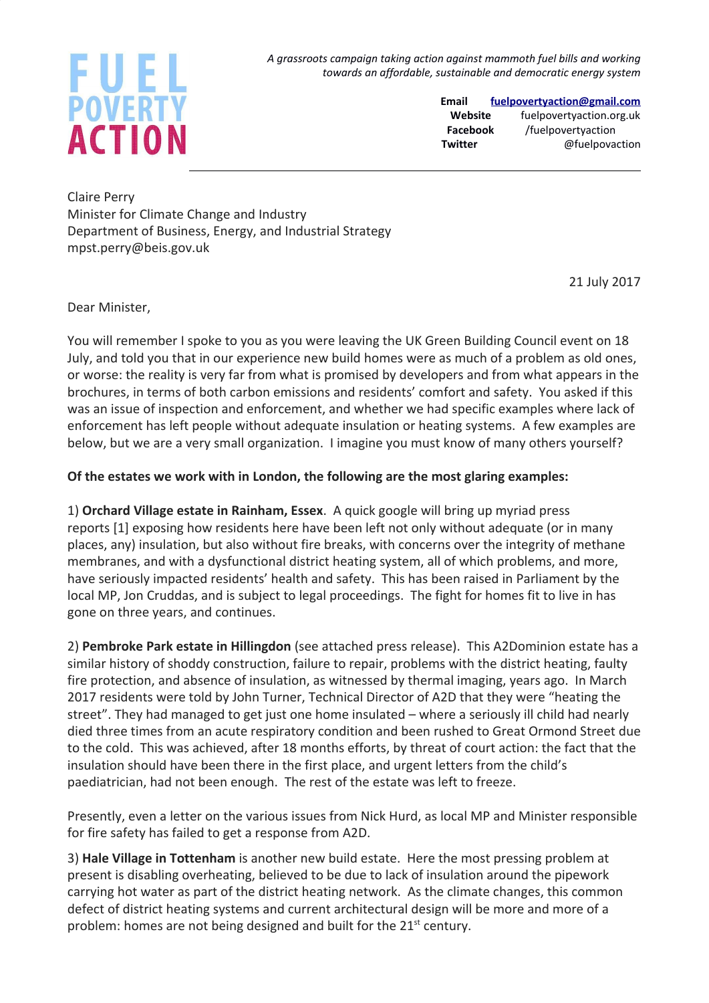

*A grassroots campaign taking action against mammoth fuel bills and working towards an affordable, sustainable and democratic energy system*

> **Email [fuelpovertyaction@gmail.com](mailto:fuelpovertyaction@gmail.com) Website** fuelpovertyaction.org.uk **Facebook** /fuelpovertyaction **Twitter** @fuelpovaction

Claire Perry Minister for Climate Change and Industry Department of Business, Energy, and Industrial Strategy mpst.perry@beis.gov.uk

21 July 2017

Dear Minister,

You will remember I spoke to you as you were leaving the UK Green Building Council event on 18 July, and told you that in our experience new build homes were as much of a problem as old ones, or worse: the reality is very far from what is promised by developers and from what appears in the brochures, in terms of both carbon emissions and residents' comfort and safety. You asked if this was an issue of inspection and enforcement, and whether we had specific examples where lack of enforcement has left people without adequate insulation or heating systems. A few examples are below, but we are a very small organization. I imagine you must know of many others yourself?

## **Of the estates we work with in London, the following are the most glaring examples:**

1) **Orchard Village estate in Rainham, Essex**. A quick google will bring up myriad press reports [1] exposing how residents here have been left not only without adequate (or in many places, any) insulation, but also without fire breaks, with concerns over the integrity of methane membranes, and with a dysfunctional district heating system, all of which problems, and more, have seriously impacted residents' health and safety. This has been raised in Parliament by the local MP, Jon Cruddas, and is subject to legal proceedings. The fight for homes fit to live in has gone on three years, and continues.

2) **Pembroke Park estate in Hillingdon** (see attached press release). This A2Dominion estate has a similar history of shoddy construction, failure to repair, problems with the district heating, faulty fire protection, and absence of insulation, as witnessed by thermal imaging, years ago. In March 2017 residents were told by John Turner, Technical Director of A2D that they were "heating the street". They had managed to get just one home insulated – where a seriously ill child had nearly died three times from an acute respiratory condition and been rushed to Great Ormond Street due to the cold. This was achieved, after 18 months efforts, by threat of court action: the fact that the insulation should have been there in the first place, and urgent letters from the child's paediatrician, had not been enough. The rest of the estate was left to freeze.

Presently, even a letter on the various issues from Nick Hurd, as local MP and Minister responsible for fire safety has failed to get a response from A2D.

3) **Hale Village in Tottenham** is another new build estate. Here the most pressing problem at present is disabling overheating, believed to be due to lack of insulation around the pipework carrying hot water as part of the district heating network. As the climate changes, this common defect of district heating systems and current architectural design will be more and more of a problem: homes are not being designed and built for the 21<sup>st</sup> century.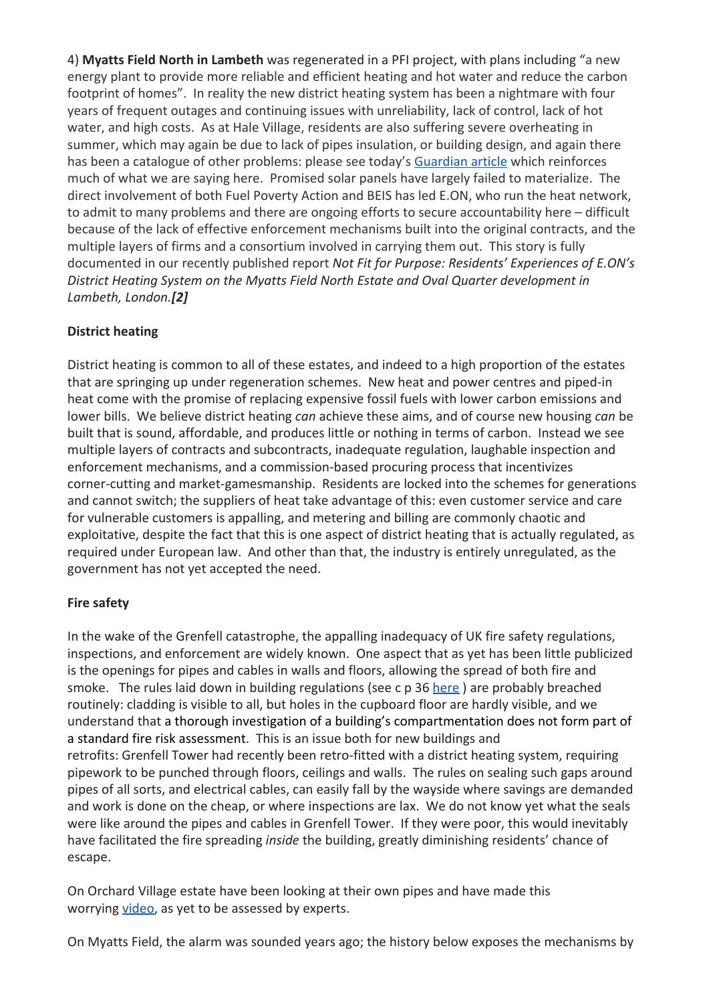4) **Myatts Field North in Lambeth** was regenerated in a PFI project, with plans including "a new energy plant to provide more reliable and efficient heating and hot water and reduce the carbon footprint of homes". In reality the new district heating system has been a nightmare with four years of frequent outages and continuing issues with unreliability, lack of control, lack of hot water, and high costs. As at Hale Village, residents are also suffering severe overheating in summer, which may again be due to lack of pipes insulation, or building design, and again there has been a catalogue of other problems: please see today's [Guardian article](https://www.theguardian.com/society/2017/jul/21/the-real-cost-of-regeneration-social-housing-private-developers-pfi) which reinforces much of what we are saying here. Promised solar panels have largely failed to materialize. The direct involvement of both Fuel Poverty Action and BEIS has led E.ON, who run the heat network, to admit to many problems and there are ongoing efforts to secure accountability here – difficult because of the lack of effective enforcement mechanisms built into the original contracts, and the multiple layers of firms and a consortium involved in carrying them out. This story is fully documented in our recently published report *Not Fit for Purpose: Residents' Experiences of E.ON's District Heating System on the Myatts Field North Estate and Oval Quarter development in Lambeth, London.[2]*

# **District heating**

District heating is common to all of these estates, and indeed to a high proportion of the estates that are springing up under regeneration schemes. New heat and power centres and piped-in heat come with the promise of replacing expensive fossil fuels with lower carbon emissions and lower bills. We believe district heating *can* achieve these aims, and of course new housing *can* be built that is sound, affordable, and produces little or nothing in terms of carbon. Instead we see multiple layers of contracts and subcontracts, inadequate regulation, laughable inspection and enforcement mechanisms, and a commission-based procuring process that incentivizes corner-cutting and market-gamesmanship. Residents are locked into the schemes for generations and cannot switch; the suppliers of heat take advantage of this: even customer service and care for vulnerable customers is appalling, and metering and billing are commonly chaotic and exploitative, despite the fact that this is one aspect of district heating that is actually regulated, as required under European law. And other than that, the industry is entirely unregulated, as the government has not yet accepted the need.

## **Fire safety**

In the wake of the Grenfell catastrophe, the appalling inadequacy of UK fire safety regulations, inspections, and enforcement are widely known. One aspect that as yet has been little publicized is the openings for pipes and cables in walls and floors, allowing the spread of both fire and smoke. The rules laid down in building regulations (see c  $p$  36 here) are probably breached routinely: cladding is visible to all, but holes in the cupboard floor are hardly visible, and we understand that a thorough investigation of a building's compartmentation does not form part of a standard fire risk assessment. This is an issue both for new buildings and retrofits: Grenfell Tower had recently been retro-fitted with a district heating system, requiring pipework to be punched through floors, ceilings and walls. The rules on sealing such gaps around pipes of all sorts, and electrical cables, can easily fall by the wayside where savings are demanded and work is done on the cheap, or where inspections are lax. We do not know yet what the seals were like around the pipes and cables in Grenfell Tower. If they were poor, this would inevitably have facilitated the fire spreading *inside* the building, greatly diminishing residents' chance of escape.

On Orchard Village estate have been looking at their own pipes and have made this worrying [video,](https://drive.google.com/open?id=0BxDnf0pHrWtDRFoxem1mRDFfazNMcGdKQ1ZaVDRCa05hWC1F) as yet to be assessed by experts.

On Myatts Field, the alarm was sounded years ago; the history below exposes the mechanisms by